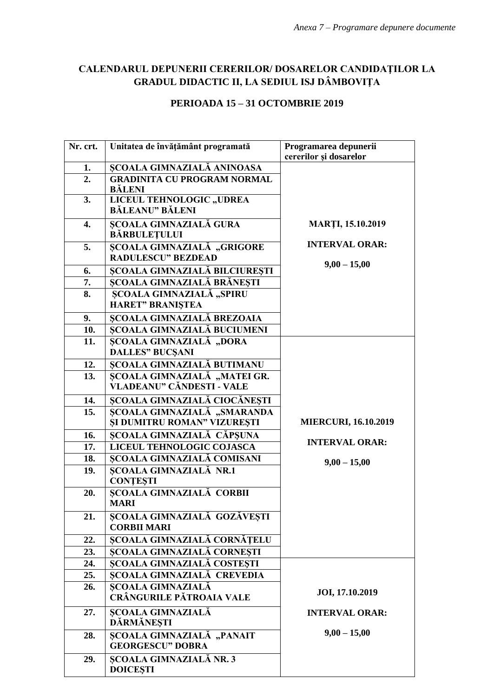## **CALENDARUL DEPUNERII CERERILOR/ DOSARELOR CANDIDAŢILOR LA GRADUL DIDACTIC II, LA SEDIUL ISJ DÂMBOVIŢA**

## **PERIOADA 15 – 31 OCTOMBRIE 2019**

| Nr. crt. | Unitatea de învățământ programată             | Programarea depunerii<br>cererilor și dosarelor |
|----------|-----------------------------------------------|-------------------------------------------------|
| 1.       | <b>SCOALA GIMNAZIALĂ ANINOASA</b>             |                                                 |
| 2.       | <b>GRADINITA CU PROGRAM NORMAL</b>            |                                                 |
|          | <b>BĂLENI</b>                                 |                                                 |
| 3.       | LICEUL TEHNOLOGIC "UDREA                      |                                                 |
|          | <b>BĂLEANU" BĂLENI</b>                        |                                                 |
| 4.       | <b>ȘCOALA GIMNAZIALĂ GURA</b>                 | <b>MARTI, 15.10.2019</b>                        |
|          | <b>BĂRBULEȚULUI</b>                           |                                                 |
| 5.       | ȘCOALA GIMNAZIALĂ "GRIGORE                    | <b>INTERVAL ORAR:</b>                           |
|          | <b>RADULESCU" BEZDEAD</b>                     |                                                 |
| 6.       | <b>SCOALA GIMNAZIALĂ BILCIUREȘTI</b>          | $9,00 - 15,00$                                  |
| 7.       | ȘCOALA GIMNAZIALĂ BRĂNEȘTI                    |                                                 |
| 8.       | ȘCOALA GIMNAZIALĂ "SPIRU                      |                                                 |
|          | <b>HARET" BRANIŞTEA</b>                       |                                                 |
| 9.       | <b>ȘCOALA GIMNAZIALĂ BREZOAIA</b>             |                                                 |
| 10.      | <b>SCOALA GIMNAZIALĂ BUCIUMENI</b>            |                                                 |
| 11.      | <b>SCOALA GIMNAZIALĂ "DORA</b>                |                                                 |
|          | <b>DALLES" BUCSANI</b>                        |                                                 |
| 12.      | <b>SCOALA GIMNAZIALĂ BUTIMANU</b>             |                                                 |
| 13.      | ȘCOALA GIMNAZIALĂ "MATEI GR.                  |                                                 |
|          | VLADEANU" CĂNDESTI - VALE                     |                                                 |
| 14.      | ȘCOALA GIMNAZIALĂ CIOCĂNEȘTI                  |                                                 |
| 15.      | ȘCOALA GIMNAZIALĂ "SMARANDA                   |                                                 |
|          | <b>SI DUMITRU ROMAN" VIZURESTI</b>            | <b>MIERCURI, 16.10.2019</b>                     |
| 16.      | <b>SCOALA GIMNAZIALĂ CĂPSUNA</b>              | <b>INTERVAL ORAR:</b>                           |
| 17.      | <b>LICEUL TEHNOLOGIC COJASCA</b>              |                                                 |
| 18.      | <b>SCOALA GIMNAZIALĂ COMISANI</b>             | $9,00 - 15,00$                                  |
| 19.      | <b>ȘCOALA GIMNAZIALĂ NR.1</b>                 |                                                 |
|          | <b>CONTESTI</b>                               |                                                 |
| 20.      | SCOALA GIMNAZIALĂ CORBII                      |                                                 |
|          | <b>MARI</b>                                   |                                                 |
| 21.      | ȘCOALA GIMNAZIALĂ GOZĂVEȘTI                   |                                                 |
|          | <b>CORBII MARI</b>                            |                                                 |
| 22.      | SCOALA GIMNAZIALĂ CORNĂȚELU                   |                                                 |
| 23.      | <b>SCOALA GIMNAZIALĂ CORNESTI</b>             |                                                 |
| 24.      | ȘCOALA GIMNAZIALĂ COSTEȘTI                    |                                                 |
| 25.      | <b>SCOALA GIMNAZIALĂ CREVEDIA</b>             |                                                 |
| 26.      | ȘCOALA GIMNAZIALĂ<br>CRÂNGURILE PĂTROAIA VALE | JOI, 17.10.2019                                 |
|          |                                               |                                                 |
| 27.      | <b>ȘCOALA GIMNAZIALĂ</b>                      | <b>INTERVAL ORAR:</b>                           |
|          | DĂRMĂNEȘTI                                    |                                                 |
| 28.      | ȘCOALA GIMNAZIALĂ "PANAIT                     | $9,00 - 15,00$                                  |
|          | <b>GEORGESCU" DOBRA</b>                       |                                                 |
| 29.      | <b>SCOALA GIMNAZIALĂ NR. 3</b>                |                                                 |
|          | <b>DOICESTI</b>                               |                                                 |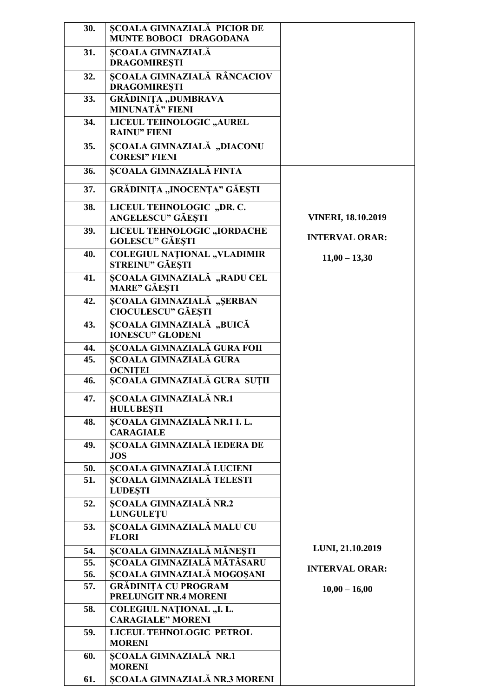| 30. | <b>SCOALA GIMNAZIALĂ PICIOR DE</b><br>MUNTE BOBOCI DRAGODANA  |                           |
|-----|---------------------------------------------------------------|---------------------------|
| 31. | <b>ȘCOALA GIMNAZIALĂ</b><br><b>DRAGOMIRESTI</b>               |                           |
| 32. | <b>ȘCOALA GIMNAZIALĂ RÂNCACIOV</b><br><b>DRAGOMIREȘTI</b>     |                           |
| 33. | GRĂDINIȚA "DUMBRAVA<br><b>MINUNATĂ" FIENI</b>                 |                           |
| 34. | LICEUL TEHNOLOGIC "AUREL<br><b>RAINU" FIENI</b>               |                           |
| 35. | ȘCOALA GIMNAZIALĂ "DIACONU<br><b>CORESI" FIENI</b>            |                           |
| 36. | ȘCOALA GIMNAZIALĂ FINTA                                       |                           |
| 37. | GRĂDINIȚA "INOCENȚA" GĂEȘTI                                   |                           |
| 38. | LICEUL TEHNOLOGIC "DR. C.<br><b>ANGELESCU" GĂEȘTI</b>         | <b>VINERI, 18.10.2019</b> |
| 39. | LICEUL TEHNOLOGIC "IORDACHE<br><b>GOLESCU" GĂEȘTI</b>         | <b>INTERVAL ORAR:</b>     |
| 40. | <b>COLEGIUL NAȚIONAL "VLADIMIR</b><br>STREINU" GĂEȘTI         | $11,00 - 13,30$           |
| 41. | <b>SCOALA GIMNAZIALĂ "RADU CEL</b><br><b>MARE" GĂEȘTI</b>     |                           |
| 42. | <b>SCOALA GIMNAZIALĂ "SERBAN</b><br><b>CIOCULESCU" GĂEȘTI</b> |                           |
| 43. | ȘCOALA GIMNAZIALĂ "BUICĂ<br><b>IONESCU" GLODENI</b>           |                           |
| 44. | <b>SCOALA GIMNAZIALĂ GURA FOII</b>                            |                           |
| 45. | <b>SCOALA GIMNAZIALĂ GURA</b><br><b>OCNITEI</b>               |                           |
| 46. | ȘCOALA GIMNAZIALĂ GURA SUȚII                                  |                           |
| 47. | ȘCOALA GIMNAZIALĂ NR.1<br><b>HULUBEȘTI</b>                    |                           |
| 48. | ȘCOALA GIMNAZIALĂ NR.1 I. L.<br><b>CARAGIALE</b>              |                           |
| 49. | <b>SCOALA GIMNAZIALĂ IEDERA DE</b><br><b>JOS</b>              |                           |
| 50. | ȘCOALA GIMNAZIALĂ LUCIENI                                     |                           |
| 51. | <b>SCOALA GIMNAZIALĂ TELESTI</b><br><b>LUDESTI</b>            |                           |
| 52. | <b>ȘCOALA GIMNAZIALĂ NR.2</b><br><b>LUNGULETU</b>             |                           |
| 53. | ȘCOALA GIMNAZIALĂ MALU CU<br><b>FLORI</b>                     |                           |
| 54. | ȘCOALA GIMNAZIALĂ MĂNEȘTI                                     | LUNI, 21.10.2019          |
| 55. | <b>ȘCOALA GIMNAZIALĂ MĂTĂSARU</b>                             | <b>INTERVAL ORAR:</b>     |
| 56. | ȘCOALA GIMNAZIALĂ MOGOȘANI                                    |                           |
| 57. | <b>GRĂDINIȚA CU PROGRAM</b><br>PRELUNGIT NR.4 MORENI          | $10,00 - 16,00$           |
| 58. | <b>COLEGIUL NATIONAL "I. L.</b><br><b>CARAGIALE" MORENI</b>   |                           |
| 59. | LICEUL TEHNOLOGIC PETROL<br><b>MORENI</b>                     |                           |
| 60. | ȘCOALA GIMNAZIALĂ NR.1<br><b>MORENI</b>                       |                           |
| 61. | <b>ȘCOALA GIMNAZIALĂ NR.3 MORENI</b>                          |                           |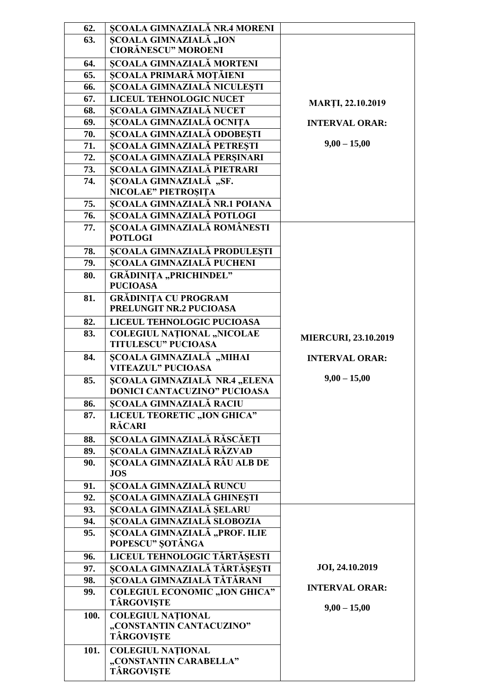| 62.  | <b>SCOALA GIMNAZIALĂ NR.4 MORENI</b>                                 |                             |
|------|----------------------------------------------------------------------|-----------------------------|
| 63.  | <b>ȘCOALA GIMNAZIALĂ "ION</b>                                        |                             |
|      | <b>CIORĂNESCU" MOROENI</b>                                           |                             |
| 64.  | <b>ȘCOALA GIMNAZIALĂ MORTENI</b>                                     |                             |
| 65.  | SCOALA PRIMARĂ MOȚĂIENI                                              |                             |
| 66.  | ȘCOALA GIMNAZIALĂ NICULEȘTI                                          |                             |
| 67.  | LICEUL TEHNOLOGIC NUCET                                              | <b>MARTI, 22.10.2019</b>    |
| 68.  | ȘCOALA GIMNAZIALĂ NUCET                                              |                             |
| 69.  | SCOALA GIMNAZIALĂ OCNIȚA                                             | <b>INTERVAL ORAR:</b>       |
| 70.  | ȘCOALA GIMNAZIALĂ ODOBESTI                                           |                             |
| 71.  | ȘCOALA GIMNAZIALĂ PETREȘTI                                           | $9,00 - 15,00$              |
| 72.  | ȘCOALA GIMNAZIALĂ PERȘINARI                                          |                             |
| 73.  | <b>SCOALA GIMNAZIALĂ PIETRARI</b>                                    |                             |
| 74.  | ȘCOALA GIMNAZIALĂ "SF.                                               |                             |
|      | NICOLAE" PIETROȘIȚA                                                  |                             |
| 75.  | ȘCOALA GIMNAZIALĂ NR.1 POIANA                                        |                             |
| 76.  | <b>SCOALA GIMNAZIALĂ POTLOGI</b>                                     |                             |
| 77.  | <b>SCOALA GIMNAZIALĂ ROMÂNESTI</b><br><b>POTLOGI</b>                 |                             |
| 78.  | ȘCOALA GIMNAZIALĂ PRODULEȘTI                                         |                             |
| 79.  | <b>SCOALA GIMNAZIALĂ PUCHENI</b>                                     |                             |
| 80.  | <b>GRĂDINIȚA "PRICHINDEL"</b><br><b>PUCIOASA</b>                     |                             |
| 81.  | <b>GRĂDINIȚA CU PROGRAM</b>                                          |                             |
|      | PRELUNGIT NR.2 PUCIOASA                                              |                             |
| 82.  | LICEUL TEHNOLOGIC PUCIOASA                                           |                             |
| 83.  | <b>COLEGIUL NATIONAL "NICOLAE</b>                                    |                             |
|      | <b>TITULESCU" PUCIOASA</b>                                           | <b>MIERCURI, 23.10.2019</b> |
| 84.  | SCOALA GIMNAZIALĂ "MIHAI                                             | <b>INTERVAL ORAR:</b>       |
|      | <b>VITEAZUL" PUCIOASA</b>                                            |                             |
| 85.  | SCOALA GIMNAZIALĂ NR.4 "ELENA<br><b>DONICI CANTACUZINO" PUCIOASA</b> | $9,00 - 15,00$              |
| 86.  | <b>ȘCOALA GIMNAZIALĂ RACIU</b>                                       |                             |
| 87.  | LICEUL TEORETIC "ION GHICA"<br><b>RĂCARI</b>                         |                             |
| 88.  | SCOALA GIMNAZIALĂ RĂSCĂEȚI                                           |                             |
| 89.  | ȘCOALA GIMNAZIALĂ RĂZVAD                                             |                             |
| 90.  | ȘCOALA GIMNAZIALĂ RÂU ALB DE                                         |                             |
|      | <b>JOS</b>                                                           |                             |
| 91.  | <b>ȘCOALA GIMNAZIALĂ RUNCU</b>                                       |                             |
| 92.  | <b>SCOALA GIMNAZIALĂ GHINESTI</b>                                    |                             |
| 93.  | ȘCOALA GIMNAZIALĂ ȘELARU                                             |                             |
| 94.  | <b>SCOALA GIMNAZIALĂ SLOBOZIA</b>                                    |                             |
| 95.  | ȘCOALA GIMNAZIALĂ "PROF. ILIE                                        |                             |
|      | POPESCU" ȘOTÂNGA                                                     |                             |
| 96.  | LICEUL TEHNOLOGIC TĂRTĂȘESTI                                         |                             |
| 97.  | ȘCOALA GIMNAZIALĂ TĂRTĂȘEȘTI                                         | JOI, 24.10.2019             |
| 98.  | SCOALA GIMNAZIALĂ TĂTĂRANI                                           |                             |
| 99.  | <b>COLEGIUL ECONOMIC "ION GHICA"</b><br><b>TÂRGOVIȘTE</b>            | <b>INTERVAL ORAR:</b>       |
| 100. | <b>COLEGIUL NATIONAL</b>                                             | $9,00 - 15,00$              |
|      | "CONSTANTIN CANTACUZINO"                                             |                             |
|      | <b>TÂRGOVIȘTE</b>                                                    |                             |
| 101. | <b>COLEGIUL NATIONAL</b>                                             |                             |
|      | "CONSTANTIN CARABELLA"                                               |                             |
|      | TÂRGOVIȘTE                                                           |                             |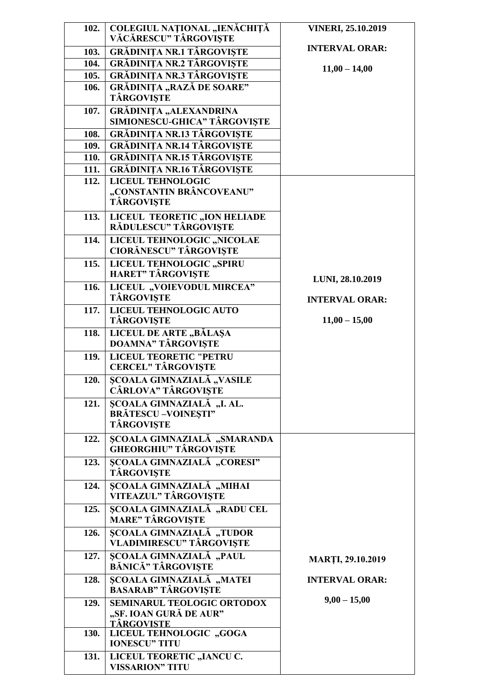| 102.         | COLEGIUL NAȚIONAL "IENĂCHIȚĂ<br>VĂCĂRESCU" TÂRGOVIȘTE  | <b>VINERI, 25.10.2019</b> |
|--------------|--------------------------------------------------------|---------------------------|
| 103.         | <b>GRĂDINIȚA NR.1 TÂRGOVIȘTE</b>                       | <b>INTERVAL ORAR:</b>     |
| 104.         | <b>GRĂDINIȚA NR.2 TÂRGOVIȘTE</b>                       |                           |
| 105.         | <b>GRĂDINIȚA NR.3 TÂRGOVISTE</b>                       | $11,00 - 14,00$           |
| 106.         | <b>GRĂDINIȚA "RAZĂ DE SOARE"</b>                       |                           |
|              | <b>TÂRGOVISTE</b>                                      |                           |
| 107.         | <b>GRĂDINIȚA "ALEXANDRINA</b>                          |                           |
|              | SIMIONESCU-GHICA" TÂRGOVISTE                           |                           |
| 108.         | <b>GRĂDINIȚA NR.13 TÂRGOVIȘTE</b>                      |                           |
| 109.         | <b>GRĂDINIȚA NR.14 TÂRGOVISTE</b>                      |                           |
| 110.         | <b>GRĂDINIȚA NR.15 TÂRGOVIȘTE</b>                      |                           |
| 111.<br>112. | <b>GRĂDINIȚA NR.16 TÂRGOVIȘTE</b><br>LICEUL TEHNOLOGIC |                           |
|              | "CONSTANTIN BRÂNCOVEANU"                               |                           |
|              | <b>TÂRGOVIȘTE</b>                                      |                           |
| 113.         | LICEUL TEORETIC "ION HELIADE                           |                           |
|              | RĂDULESCU" TÂRGOVIȘTE                                  |                           |
| 114.         | LICEUL TEHNOLOGIC "NICOLAE                             |                           |
|              | <b>CIORĂNESCU" TÂRGOVIȘTE</b>                          |                           |
| 115.         | LICEUL TEHNOLOGIC "SPIRU                               |                           |
|              | <b>HARET" TÂRGOVIȘTE</b>                               | LUNI, 28.10.2019          |
| 116.         | LICEUL "VOIEVODUL MIRCEA"                              |                           |
|              | <b>TÂRGOVIȘTE</b>                                      | <b>INTERVAL ORAR:</b>     |
| 117.         | LICEUL TEHNOLOGIC AUTO                                 |                           |
|              | <b>TÂRGOVIȘTE</b>                                      | $11,00 - 15,00$           |
| 118.         | LICEUL DE ARTE "BĂLAȘA<br><b>DOAMNA" TÂRGOVISTE</b>    |                           |
| 119.         | <b>LICEUL TEORETIC "PETRU</b>                          |                           |
|              | <b>CERCEL" TÂRGOVIȘTE</b>                              |                           |
| 120.         | <b>SCOALA GIMNAZIALĂ "VASILE</b>                       |                           |
|              | <b>CÂRLOVA" TÂRGOVIȘTE</b>                             |                           |
| 121.         | SCOALA GIMNAZIALĂ, "I. AL.                             |                           |
|              | <b>BRĂTESCU-VOINESTI"</b>                              |                           |
|              | TÂRGOVIȘTE                                             |                           |
| 122.         | ȘCOALA GIMNAZIALĂ "SMARANDA                            |                           |
|              | <b>GHEORGHIU" TÂRGOVIȘTE</b>                           |                           |
| 123.         | <b>ȘCOALA GIMNAZIALĂ</b> "CORESI"<br><b>TÂRGOVIȘTE</b> |                           |
| 124.         | ȘCOALA GIMNAZIALĂ "MIHAI                               |                           |
|              | VITEAZUL" TÂRGOVIȘTE                                   |                           |
| 125.         | <b>SCOALA GIMNAZIALĂ "RADU CEL</b>                     |                           |
|              | <b>MARE" TÂRGOVIȘTE</b>                                |                           |
| 126.         | ȘCOALA GIMNAZIALĂ, "TUDOR                              |                           |
|              | <b>VLADIMIRESCU" TÂRGOVIȘTE</b>                        |                           |
| 127.         | <b>SCOALA GIMNAZIALĂ</b> "PAUL                         | <b>MARTI, 29.10.2019</b>  |
|              | BĂNICĂ" TÂRGOVIȘTE                                     |                           |
| 128.         | ȘCOALA GIMNAZIALĂ, "MATEI                              | <b>INTERVAL ORAR:</b>     |
|              | <b>BASARAB" TÂRGOVIȘTE</b>                             | $9,00 - 15,00$            |
| 129.         | SEMINARUL TEOLOGIC ORTODOX<br>"SF. IOAN GURĂ DE AUR"   |                           |
|              | <b>TÂRGOVISTE</b>                                      |                           |
| 130.         | LICEUL TEHNOLOGIC "GOGA                                |                           |
|              | <b>IONESCU" TITU</b>                                   |                           |
| 131.         | LICEUL TEORETIC "IANCU C.                              |                           |
|              | <b>VISSARION" TITU</b>                                 |                           |